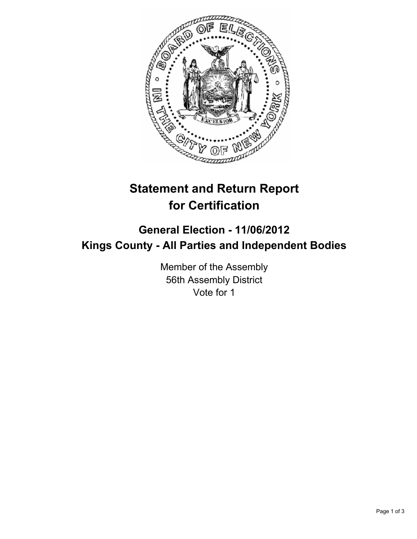

## **Statement and Return Report for Certification**

## **General Election - 11/06/2012 Kings County - All Parties and Independent Bodies**

Member of the Assembly 56th Assembly District Vote for 1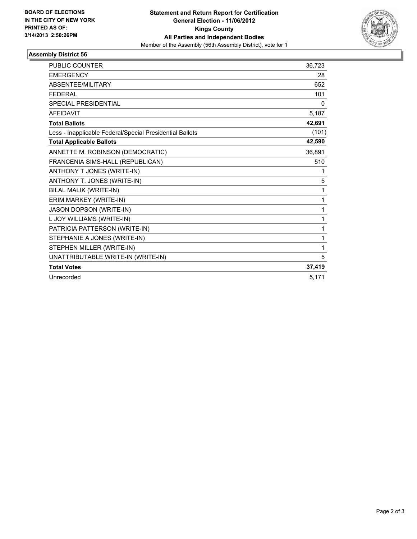

## **Assembly District 56**

| <b>PUBLIC COUNTER</b>                                    | 36,723 |
|----------------------------------------------------------|--------|
| <b>EMERGENCY</b>                                         | 28     |
| <b>ABSENTEE/MILITARY</b>                                 | 652    |
| <b>FEDERAL</b>                                           | 101    |
| SPECIAL PRESIDENTIAL                                     | 0      |
| <b>AFFIDAVIT</b>                                         | 5,187  |
| <b>Total Ballots</b>                                     | 42,691 |
| Less - Inapplicable Federal/Special Presidential Ballots | (101)  |
| <b>Total Applicable Ballots</b>                          | 42,590 |
| ANNETTE M. ROBINSON (DEMOCRATIC)                         | 36,891 |
| FRANCENIA SIMS-HALL (REPUBLICAN)                         | 510    |
| ANTHONY T JONES (WRITE-IN)                               | 1      |
| ANTHONY T. JONES (WRITE-IN)                              | 5      |
| BILAL MALIK (WRITE-IN)                                   | 1      |
| ERIM MARKEY (WRITE-IN)                                   | 1      |
| JASON DOPSON (WRITE-IN)                                  | 1      |
| L JOY WILLIAMS (WRITE-IN)                                | 1      |
| PATRICIA PATTERSON (WRITE-IN)                            | 1      |
| STEPHANIE A JONES (WRITE-IN)                             | 1      |
| STEPHEN MILLER (WRITE-IN)                                | 1      |
| UNATTRIBUTABLE WRITE-IN (WRITE-IN)                       | 5      |
| <b>Total Votes</b>                                       | 37,419 |
| Unrecorded                                               | 5,171  |